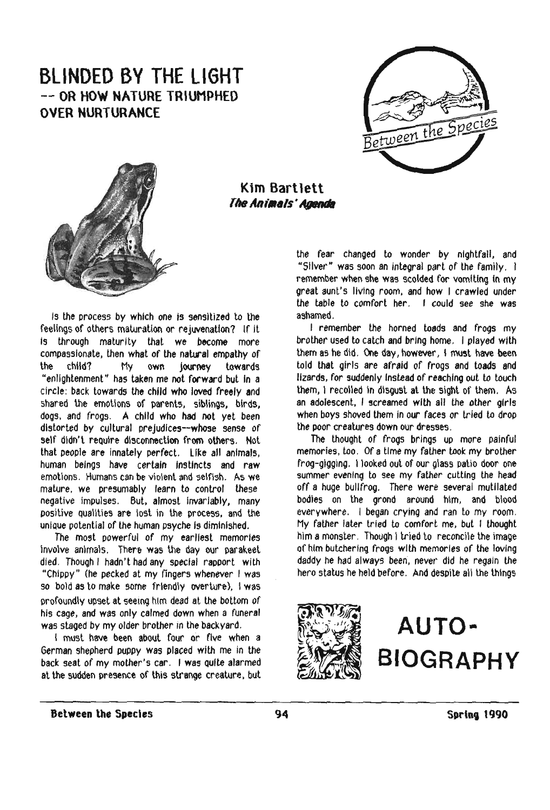## **BLINDED BY THE LIGHT** -- **OR HOW NATURE TRIUMPHED OVER NURTURANCE**





, *<sup>t</sup>* .~ \_. fl· *<sup>1</sup>* ,../-.. \ \_tr:>,'jv, **Kim Bartlett The Animals' Agenda** 

Is the process by whleh one is sensitized to the feelings of others maturation or rejwenatlon? If It Is through maturity that we become more compassionate, then what of the natural empathy of the child? My own Journey towards "enlightenment" has taken me not forward but In a circle: back towards the child who loved freely and shared the emotions of parents, siblings, birds, dogs, and frogs. A child who had not yet been distorted by cultural prejudices--whose sense of self didn't require disconnection from others. Not that people are innately perfect. like all animals, human beings have certain instincts and raw emotions. Humans can be violent and selfish. As we mature. we presumably learn to control these negative impulses. But, almost Invariably, many positive Qualities are lost in the process, and the unique potential of the human psyche is diminished.

The most powerful of my earliest memories Involve animals. There was the day our parakeet died, Though I hadn't had any special rapport with "Chippy" (he pecked at my fingers whenever I was so bold as to make some friendly overture), I was profoundly upset at seeing him dead at the bottom of his cage, and was only calmed down when a funeral was staged by my older brother in the backyard.

I must have been about four or five when a German shepherd puppy was placed with me in the back seat of my mother's car. I was QUite alarmed at the sudden presence of this strange creature, but

the fear changed to wonder by nightfall, and "Sliver" was soon an Integral part of the family. I remember when she was scolded for vomiting in my great aunt's liVing room, and how I crawled under the table to comfort her. I could see she was ashamed.

I remember the horned toads and frogs my brother used to calch and bring home. I played with them as he did. One day, however, I must have been told that girls are afraid of frogs and loads and lizards, for suddenly Instead of reaching out to touch them, I recoiled in disgust at the sight of them. As an adolescent, I screamed with all the other girls when boys shoved them in our faces or tried to drop the poor creatures down our dresses.

The thought of frogs brings up more painful memories, too. Of a time my father took my brother frog-gigging. I looked out of our glass patio door one summer evening to see my father cutting the head off a huge bullfrog. There were several mulllaled bodies on the grond around him, and blood everywhere. I began crying and ran to my room. My father later tried to comfort me, but I thought him a monster. Though I tried to reconcile the image of him butchering frogs with memories of the loving daddy he had always been, never did he regain the hero status he held before. And despite all the things



## **AUTO-BIOGRAPHY**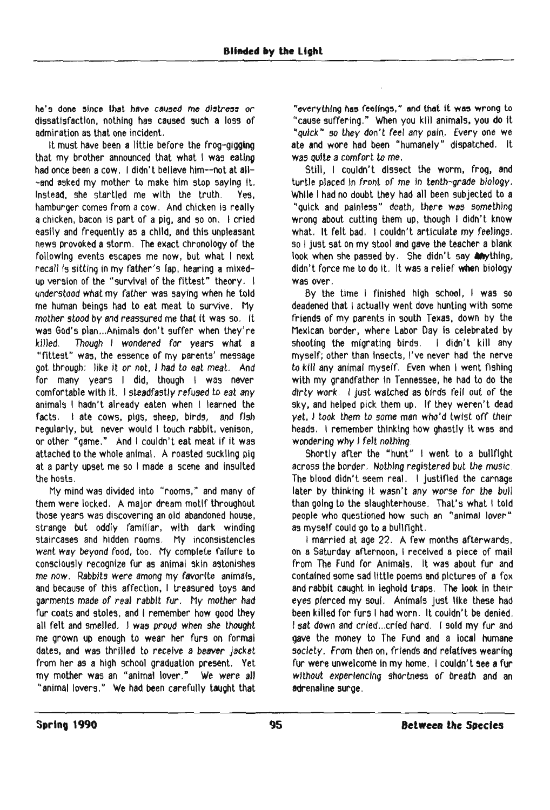he's done since that have caused me distress or dissatisfaction, nothing has caused such a loss of admiration as that one incident.

It must have been a little before the frog-gigging that my brother announced that what 1 was eating had once been a cow. I didn't believe him--not at all--and asked my mother to make him stop saying it. Instead, she startled me with the truth. Yes, hamburger comes from a cow. And chicken is really a chicken, bacon is part of a pig, and so on. I cried easily and frequently as a child, and this unpleasant news provoked a storm. The exact chronology of the following events escapes me now, but what I next recall is sitting in my father's lap, hearing a mixedup version of the "survival of the fittest" theory. I understood what my father was saying when he told me human beings had to eat meat to survive. My mother stood by and reassured me that it was so. It was God's plan ...Animals don't suffer when they're killed. Though I wondered for years what a "fittest" was, the essence of my parents' message got through: like it or not, I had to eat meat. And for many years I did, though I was never comfortable with it. I steadfastly refused to eat any animals I hadn't already eaten when I learned the facts. I ate cows, pigs, sheep, birds, and fish regularly, but never would I touch rabbit, venison, or other "game." And I couldn't eat meat if it was attached to the whole animal, A roasted suckling pig at a party upset me so I made a scene and insulted the hosts.

My mind was divided Into "rooms," and many of them were locked. A major dream motif throughout those years was discovering an old abandoned house, strange but oddly familiar, with dark winding staircases and hidden rooms. My inconsistencies went way beyond food, too. My complete failure to consciously recognize fur as animal skin astonishes me now. Rabbits were among my favorite animals, and because of this affection, I treasured toys and garments made of real rabbit fur. My mother had fur coats and stoles, and I remember how good they all felt and smelled. I was proud when she thought me grown up enough to wear her furs on formal dates, and was thrilled to receive a beaver jacket from her as a high school graduation present. Yet my mother was an "animal lover." We were all "animal lovers." We had been carefully taught that

"everything has feelings," and that it was wrong to "cause suffering." When you kill animals, you do it "quick" so they don't feel any pain. Every one we ate and wore had been "humanely" dispatched. It was outte a comfort to me.

Still, I couldn't dissect the worm, frog, and turtle placed In front of me In tenth-grade biology. While I had no doubt they had all been subjected to a "Quick and painless" death, there was something wrong about cutting them up, though I didn't know what. It felt bad. I couldn't articulate my feelings. so I just sat on my stool and gave the teacher a blank look when she passed by. She didn't say anything, didn't force me to do it. It was arelief when biology was over.

By the time I finished high school, I was so deadened that I actually went dove hunting with some friends of my parents in south Texas, down by the Mexican border, where Labor Day is celebrated by<br>shooting the migrating birds. I didn't kill any shooting the migrating birds. myself; other than Insects, I've never had the nerve to kill any animal myself. Even when I went fishing with my grandfather in Tennessee, he had to do the dirty work, I just watched as birds fell out of the sky, and helped pick them up. If they weren't dead yet. I took them to some man who'd twist off their heads. I remember thinking how ghastly It was and wondering why I felt nothing.

Shortly after the "hunt" I went to a bullfight across the border. Nothing registered but the music, The blood didn't seem real. I justified the carnage later by thinking it wasn't any worse for the bull than going to the slaughterhouse. That's what I told people who questioned how such an "animal lover" as myself could go to a bullfight.

I married at age 22. A few months afterwards, on a Saturday afternoon, I received a piece of mail from The Fund for Animals. It was about fur and contained some sad Itttle poems and pictures of a fox and rabbit caught in leghold traps. The look in their eyes pierced my soul. Animals just like these had been killed for furs I had worn. It couldn't be denied. I sat down and cried ...crled hard. I sold my fur and gave the money to The Fund and a local humane society. From then on, friends and relatives wearing fur were unwelcome in my home. I couldn't see a fur without experiencing shortness of breath and an adrenaline surge.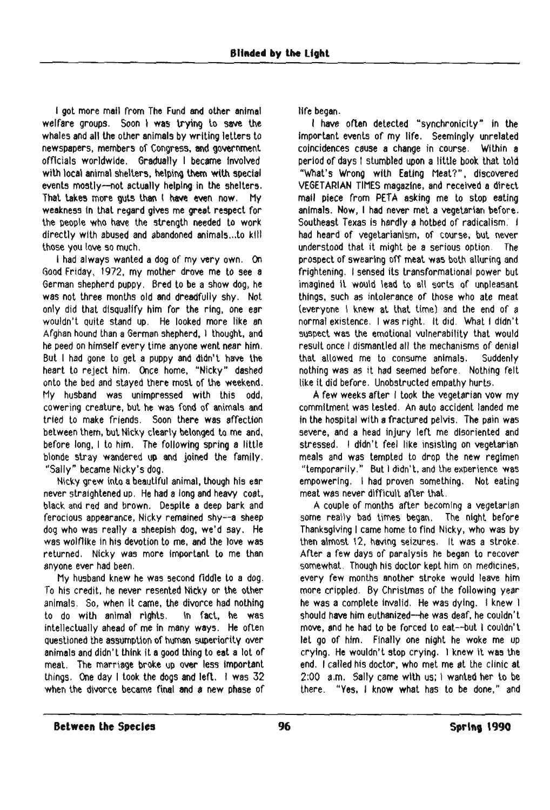I got more mail from The Fund and other animal welfare groups. Soon I was trying to save the whales and all the other animals by writing letters to newspapers, members of Congress. and government officials worldwide. Gradually I became Involved with local animal shelters, helping them with special events mostly--not actually helping in the shelters. That takes more guts than I have even now, My weakness tn that regard gives me great respect for the people who have the strength needed to work directly with abused and abandoned animals...to kill those you love so much.

I had always wanted a dog of my very own, On Good Friday, 1972, my mother drove me to see a German shepherd puppy. Bred to be a show dog, he was not three months old and dreadfully shy. Not only did that diSQualify him for the ring, one ear wouldn't quite stand up. He looked more like an Afghan hound than aGerman shepherd, I thought. and he peed on himself every time anyone went near him. But I had gone to get a puppy and didn't have the heart to reject him. Once home, "Nicky" dashed onto the bed and stayed there most of the weekend. My husband was unimpressed with this odd, cowering creature, but he was fond of animals and tried to make friends. Soon there was affection between them, but Nicky clearly belonged to me and, before long, I to him. The following spring a little blonde stray wandered up and joined the family. "Sally" became Nicky's dog.

Nicky grew into a beautiful animal, though his ear never stralghtened up. He had a long and heavy coat, black and red and brown. Despite a deep bark and ferocious appearance, Nicky remained shy--a sheep dog who was really a sheepish dog, we'd say. He was wolflike in his devotion to me, and the love was returned. Nicky was more Important to me than anyone ever had been.

My husband knew he was second fiddle to a dog. To his credit, he never resented Nicky or the other animals. So, when It came, the divorce had nothing to do with animal rights. In fact, he was intellectually ahead of me in many ways. He often Questioned the assumption of human superiority over animals and didn't think it a good thing to eat a lot of meat. The marriage broke up over less important things. One day I took the dogs and left. I was  $32$ when the divorce became final and a new phase of

life began.

I have often detected "synchronicity" In the Important events of my life. Seemingly unrelated coincidences cause a change in course. Within a period of days I stumbled upon a little book that told "What's Wrong with Eating Meat?", discovered VEGETARIAN TIMES magazine. and received a direct mall piece from PETA asking me to stop eating animals. Now, I had never met a vegetarian before. Southeast Texas is hardly a hotbed of radicalism. I had heard of vegetarianism, of course, but never understood that it might be a serious option. The prospect of swearing off meat was both alluring and frightening. I sensed its transformational power but imagined it would lead to all sorts of unpleasant things, such as intolerance of those who ate meat (everyone I knew at that time) and the end of a normal existence. I was right. It did. What I didn't suspect was the emotional vulnerability that would result once I dismantled all the mechanisms of denial that allowed me to consume animals. Suddenly nothing was as it had seemed before, Nothing felt like it did before. Unobstructed empathy hurts.

A few weeks after I took the vegetarian vow my commitment was tested. An auto accident landed me in the hospital wtth a fractured pelvis. The pain was severe, and a head injury left me disoriented and stressed. I didn't feel like insisting on vegetarian meals and was tempted to drop the new regimen "temporarily." But I didn't, and the experience was empowering, I had proven something. Not eating meat was never difficult after that.

A couple of months after becoming a vegetarian some really bad times began, The night before Thanksgiving I came home to find Nlcky, who was by then almost 12, having seizures. It was a stroke. After a few days of paralysis he began to recover somewhat. Though his doctor kept him on medicines, every few months another stroke would leave him more crippled. By Christmas of the following year he was a complete invalid. He was dying. I knew I should have him euthanized--he was deaf, he couldn't move. and he had to be forced to eat--but I couldn't let go of him. Finally one night he woke me up crying. He wouldn't stop crying. I knew it was the end. I called his doctor, who met me at the clinic at 2:00 a.m. Sally came with us; I wanted her to be there. "Yes, I know what has to be done," and